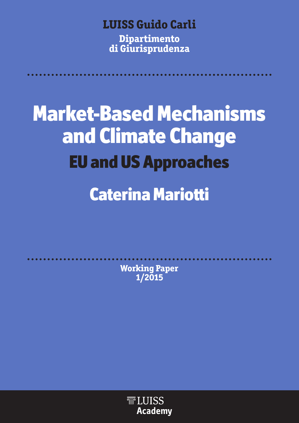# **LUISS Guido Carli**

**Dipartimento di Giurisprudenza**

**Market-Based Mechanisms and Climate Change EU and US Approaches Caterina Mariotti**

> **Working Paper 1/2015**

> > **TELUISS Academy**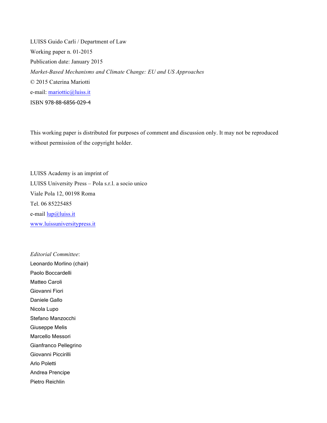LUISS Guido Carli / Department of Law Working paper n. 01-2015 Publication date: January 2015 *Market-Based Mechanisms and Climate Change: EU and US Approaches* © 2015 Caterina Mariotti e-mail: mariottic@luiss.it ISBN 978-88-6856-029-4

This working paper is distributed for purposes of comment and discussion only. It may not be reproduced without permission of the copyright holder.

LUISS Academy is an imprint of LUISS University Press – Pola s.r.l. a socio unico Viale Pola 12, 00198 Roma Tel. 06 85225485 e-mail lup@luiss.it www.luissuniversitypress.it

*Editorial Committee*: Leonardo Morlino (chair) Paolo Boccardelli Matteo Caroli Giovanni Fiori Daniele Gallo Nicola Lupo Stefano Manzocchi Giuseppe Melis Marcello Messori Gianfranco Pellegrino Giovanni Piccirilli Arlo Poletti Andrea Prencipe Pietro Reichlin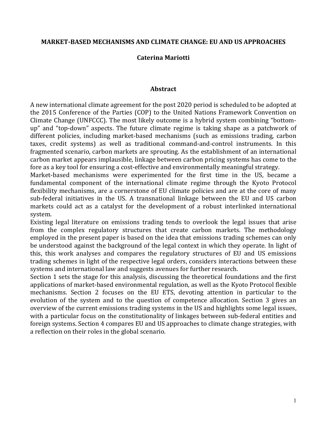#### **MARKET-BASED MECHANISMS AND CLIMATE CHANGE: EU AND US APPROACHES**

#### **Caterina+Mariotti**

#### **Abstract**

A new international climate agreement for the post 2020 period is scheduled to be adopted at the 2015 Conference of the Parties (COP) to the United Nations Framework Convention on Climate Change (UNFCCC). The most likely outcome is a hybrid system combining "bottomup" and "top-down" aspects. The future climate regime is taking shape as a patchwork of different policies, including market-based mechanisms (such as emissions trading, carbon taxes, credit systems) as well as traditional command-and-control instruments. In this fragmented scenario, carbon markets are sprouting. As the establishment of an international carbon market appears implausible, linkage between carbon pricing systems has come to the fore as a key tool for ensuring a cost-effective and environmentally meaningful strategy.

Market-based mechanisms were experimented for the first time in the US, became a fundamental component of the international climate regime through the Kyoto Protocol flexibility mechanisms, are a cornerstone of EU climate policies and are at the core of many sub-federal initiatives in the US. A transnational linkage between the EU and US carbon markets could act as a catalyst for the development of a robust interlinked international system.

Existing legal literature on emissions trading tends to overlook the legal issues that arise from the complex regulatory structures that create carbon markets. The methodology employed in the present paper is based on the idea that emissions trading schemes can only be understood against the background of the legal context in which they operate. In light of this, this work analyses and compares the regulatory structures of EU and US emissions trading schemes in light of the respective legal orders, considers interactions between these systems and international law and suggests avenues for further research.

Section 1 sets the stage for this analysis, discussing the theoretical foundations and the first applications of market-based environmental regulation, as well as the Kyoto Protocol flexible mechanisms. Section 2 focuses on the EU ETS, devoting attention in particular to the evolution of the system and to the question of competence allocation. Section 3 gives an overview of the current emissions trading systems in the US and highlights some legal issues, with a particular focus on the constitutionality of linkages between sub-federal entities and foreign systems. Section 4 compares EU and US approaches to climate change strategies, with a reflection on their roles in the global scenario.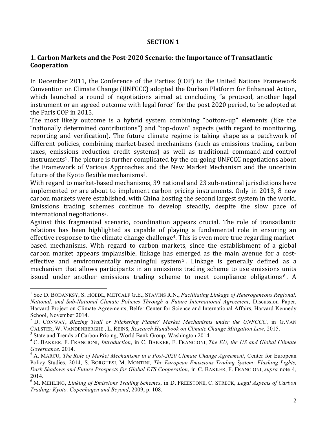#### **SECTION 1**

## **1. Carbon Markets and the Post-2020 Scenario: the Importance of Transatlantic Cooperation**

In December 2011, the Conference of the Parties (COP) to the United Nations Framework Convention on Climate Change (UNFCCC) adopted the Durban Platform for Enhanced Action, which launched a round of negotiations aimed at concluding "a protocol, another legal instrument or an agreed outcome with legal force" for the post 2020 period, to be adopted at the Paris COP in 2015.

The most likely outcome is a hybrid system combining "bottom-up" elements (like the "nationally determined contributions") and "top-down" aspects (with regard to monitoring, reporting and verification). The future climate regime is taking shape as a patchwork of different policies, combining market-based mechanisms (such as emissions trading, carbon taxes, emissions reduction credit systems) as well as traditional command-and-control instruments<sup>1</sup>. The picture is further complicated by the on-going UNFCCC negotiations about the Framework of Various Approaches and the New Market Mechanism and the uncertain future of the Kyoto flexible mechanisms<sup>2</sup>.

With regard to market-based mechanisms, 39 national and 23 sub-national jurisdictions have implemented or are about to implement carbon pricing instruments. Only in 2013, 8 new carbon markets were established, with China hosting the second largest system in the world. Emissions trading schemes continue to develop steadily, despite the slow pace of international negotiations<sup>3</sup>.

Against this fragmented scenario, coordination appears crucial. The role of transatlantic relations has been highlighted as capable of playing a fundamental role in ensuring an effective response to the climate change challenge<sup>4</sup>. This is even more true regarding marketbased mechanisms. With regard to carbon markets, since the establishment of a global carbon market appears implausible, linkage has emerged as the main avenue for a costeffective and environmentally meaningful system<sup>5</sup>. Linkage is generally defined as a mechanism that allows participants in an emissions trading scheme to use emissions units issued under another emissions trading scheme to meet compliance obligations<sup>6</sup>. A

<sup>&</sup>lt;sup>1</sup> See D. BODANKSY, S. HOEDL, METCALF G.E., STAVINS R.N., *Facilitating Linkage of Heterogeneous Regional*, *National, and Sub-National Climate Policies Through a Future International Agreement*, Discussion Paper, Harvard Project on Climate Agreements, Belfer Center for Science and International Affairs, Harvard Kennedy School, November 2014.

<sup>2</sup> D. CONWAY, *Blazing Trail or Flickering Flame? Market Mechanisms under the UNFCCC*, in G.VAN CALSTER, W. VANDENBERGHE , L. REINS, *Research Handbook on Climate Change Mitigation Law*, 2015.

<sup>&</sup>lt;sup>3</sup> State and Trends of Carbon Pricing, World Bank Group, Washington 2014.

<sup>4</sup> C. BAKKER, F. FRANCIONI, *Introduction*, in C. BAKKER, F. FRANCIONI, *The EU, the US and Global Climate Governance,* 2014.

<sup>5</sup> A. MARCU, *The Role of Market Mechanisms in a Post-2020 Climate Change Agreement*, Center for European Policy Studies, 2014, S. BORGHESI, M. MONTINI, *The European Emissions Trading System: Flashing Lights, Dark Shadows and Future Prospects for Global ETS Cooperation*, in C. BAKKER, F. FRANCIONI, *supra* note 4*,*  2014.

<sup>6</sup> M. MEHLING, *Linking of Emissions Trading Schemes*, in D. FREESTONE, C. STRECK, *Legal Aspects of Carbon Trading: Kyoto, Copenhagen and Beyond*, 2009, p. 108.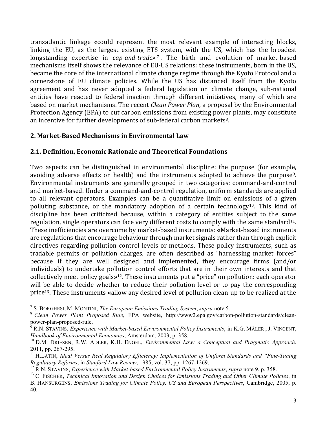transatlantic linkage «could represent the most relevant example of interacting blocks, linking the EU, as the largest existing ETS system, with the US, which has the broadest longstanding expertise in *cap-and-trade*»<sup>7</sup>. The birth and evolution of market-based mechanisms itself shows the relevance of EU-US relations: these instruments, born in the US, became the core of the international climate change regime through the Kyoto Protocol and a cornerstone of EU climate policies. While the US has distanced itself from the Kyoto agreement and has never adopted a federal legislation on climate change, sub-national entities have reacted to federal inaction through different initiatives, many of which are based on market mechanisms. The recent *Clean Power Plan*, a proposal by the Environmental Protection Agency (EPA) to cut carbon emissions from existing power plants, may constitute an incentive for further developments of sub-federal carbon markets<sup>8</sup>.

## **2.+Market'Based+Mechanisms+in+Environmental+Law**

## **2.1.+Definition,+Economic+Rationale and+Theoretical+Foundations**

Two aspects can be distinguished in environmental discipline: the purpose (for example, avoiding adverse effects on health) and the instruments adopted to achieve the purpose<sup>9</sup>. Environmental instruments are generally grouped in two categories: command-and-control and market-based. Under a command-and-control regulation, uniform standards are applied to all relevant operators. Examples can be a quantitative limit on emissions of a given polluting substance, or the mandatory adoption of a certain technology<sup>10</sup>. This kind of discipline has been criticized because, within a category of entities subject to the same regulation, single operators can face very different costs to comply with the same standard<sup>11</sup>. These inefficiencies are overcome by market-based instruments: «Market-based instruments" are regulations that encourage behaviour through market signals rather than through explicit directives regarding pollution control levels or methods. These policy instruments, such as tradable permits or pollution charges, are often described as "harnessing market forces" because if they are well designed and implemented, they encourage firms (and/or individuals) to undertake pollution control efforts that are in their own interests and that collectively meet policy goals»<sup>12</sup>. These instruments put a "price" on pollution: each operator will be able to decide whether to reduce their pollution level or to pay the corresponding price<sup>13</sup>. These instruments «allow any desired level of pollution clean-up to be realized at the

 <sup>7</sup> S. BORGHESI, M. MONTINI, *The European Emissions Trading System*, *supra* note 5.

<sup>8</sup> *Clean Power Plant Proposed Rule*, EPA website, http://www2.epa.gov/carbon-pollution-standards/cleanpower-plan-proposed-rule.

<sup>9</sup> R.N. STAVINS, *Experience with Market-based Environmental Policy Instruments*, in K.G. MÄLER , J. VINCENT, *Handbook of Environmental Economics*, Amsterdam, 2003, p. 358.

<sup>10</sup> D.M. DRIESEN, R.W. ADLER, K.H. ENGEL, *Environmental Law: a Conceptual and Pragmatic Approach*, 2011, pp. 267-295.

<sup>11</sup> H.LATIN, *Ideal Versus Real Regulatory Efficiency: Implementation of Uniform Standards and "Fine-Tuning Regulatory Reforms*, in *Stanford Law Review*, 1985, vol. 37, pp. 1267-1269.

<sup>12</sup> R.N. STAVINS, *Experience with Market-based Environmental Policy Instruments*, *supra* note 9, p. 358.

<sup>13</sup> C. FISCHER, *Technical Innovation and Design Choices for Emissions Trading and Other Climate Policies*, in B. HANSÜRGENS, *Emissions Trading for Climate Policy. US and European Perspectives*, Cambridge, 2005, p. 40.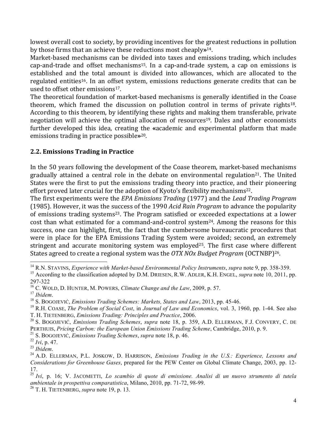lowest overall cost to society, by providing incentives for the greatest reductions in pollution by those firms that an achieve these reductions most cheaply**»**<sup>14</sup>.

Market-based mechanisms can be divided into taxes and emissions trading, which includes cap-and-trade and offset mechanisms<sup>15</sup>. In a cap-and-trade system, a cap on emissions is established and the total amount is divided into allowances, which are allocated to the regulated entities<sup>16</sup>. In an offset system, emissions reductions generate credits that can be used to offset other emissions<sup>17</sup>.

The theoretical foundation of market-based mechanisms is generally identified in the Coase theorem, which framed the discussion on pollution control in terms of private rights<sup>18</sup>. According to this theorem, by identifying these rights and making them transferable, private negotiation will achieve the optimal allocation of resources<sup>19</sup>. Dales and other economists further developed this idea, creating the «academic and experimental platform that made emissions trading in practice possible»<sup>20</sup>.

## **2.2. Emissions Trading in Practice**

In the 50 years following the development of the Coase theorem, market-based mechanisms gradually attained a central role in the debate on environmental regulation<sup>21</sup>. The United States were the first to put the emissions trading theory into practice, and their pioneering effort proved later crucial for the adoption of Kyoto's flexibility mechanisms<sup>22</sup>.

The first experiments were the *EPA Emissions Trading* (1977) and the *Lead Trading Program* (1985). However, it was the success of the 1990 Acid Rain Program to advance the popularity of emissions trading systems<sup>23</sup>. The Program satisfied or exceeded expectations at a lower cost than what estimated for a command-and-control system<sup>24</sup>. Among the reasons for this success, one can highlight, first, the fact that the cumbersome bureaucratic procedures that were in place for the EPA Emissions Trading System were avoided; second, an extremely stringent and accurate monitoring system was employed<sup>25</sup>. The first case where different States agreed to create a regional system was the *OTX NOx Budget Program* (OCTNBP)<sup>26</sup>.

<sup>21</sup> S. BOGOJEVIĆ, *Emissions Trading Schemes*, *supra* note 18, p. 46.

 <sup>14</sup> R.N. STAVINS, *Experience with Market-based Environmental Policy Instruments*, *supra* note 9, pp. 358-359.

<sup>15</sup> According to the classification adopted by D.M. DRIESEN, R.W. ADLER, K.H. ENGEL, *supra* note 10, 2011, pp. 297-322

<sup>&</sup>lt;sup>16</sup> C. WOLD, D. HUNTER, M. POWERS, *Climate Change and the Law*, 2009, p. 57.<br><sup>17</sup> Ihidem

<sup>&</sup>lt;sup>18</sup> S. BOGOJEVIĆ, *Emissions Trading Schemes: Markets, States and Law*, 2013, pp. 45-46.

<sup>19</sup> R.H. COASE, *The Problem of Social Cost*, in *Journal of Law and Economics*, vol. 3, 1960, pp. 1-44. See also T. H. TIETENBERG, *Emissions Trading: Principles and Practice*, 2006.

<sup>20</sup> S. BOGOJEVIĆ, *Emissions Trading Schemes*, *supra* note 18, p. 359, A.D. ELLERMAN, F.J. CONVERY, C. DE PERTHUIS, *Pricing Carbon: the European Union Emissions Trading Scheme*, Cambridge, 2010, p. 9.

<sup>22</sup> *Ivi*, p. 47.

<sup>&</sup>lt;sup>24</sup> A.D. ELLERMAN, P.L. JOSKOW, D. HARRISON, *Emissions Trading in the U.S.: Experience, Lessons and Considerations for Greenhouse Gases*, prepared for the PEW Center on Global Climate Change, 2003, pp. 12- 17.

<sup>25</sup> *Ivi*, p. 16; V. JACOMETTI, *Lo scambio di quote di emissione. Analisi di un nuovo strumento di tutela ambientale in prospettiva comparatistica*, Milano, 2010, pp. 71-72, 98-99.

<sup>26</sup> T. H. TIETENBERG, *supra* note 19, p. 13.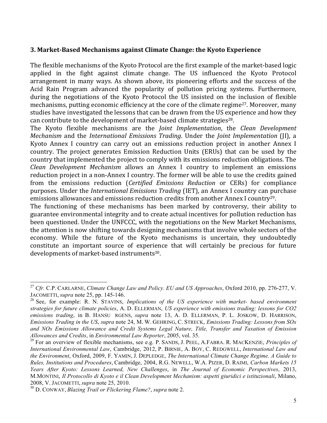#### **3.+Market'Based+Mechanisms+against+Climate+Change:+the+Kyoto+Experience**

The flexible mechanisms of the Kyoto Protocol are the first example of the market-based logic applied in the fight against climate change. The US influenced the Kyoto Protocol arrangement in many ways. As shown above, its pioneering efforts and the success of the Acid Rain Program advanced the popularity of pollution pricing systems. Furthermore, during the negotiations of the Kyoto Protocol the US insisted on the inclusion of flexible mechanisms, putting economic efficiency at the core of the climate regime<sup>27</sup>. Moreover, many studies have investigated the lessons that can be drawn from the US experience and how they can contribute to the development of market-based climate strategies<sup>28</sup>.

The" Kyoto" flexible" mechanisms" are" the" *Joint, Implementation*," the" *Clean, Development, Mechanism* and the *International Emissions Trading*. Under the *Joint Implementation* (JI), a Kyoto Annex I country can carry out an emissions reduction project in another Annex I country. The project generates Emission Reduction Units (ERUs) that can be used by the country that implemented the project to comply with its emissions reduction obligations. The *Clean Development Mechanism* allows an Annex I country to implement an emissions reduction project in a non-Annex I country. The former will be able to use the credits gained from the emissions reduction (*Certified Emissions Reduction* or CERs) for compliance purposes. Under the *International Emissions Trading* (IET), an Annex I country can purchase emissions allowances and emissions reduction credits from another Annex I country<sup>29</sup>.

The functioning of these mechanisms has been marked by controversy, their ability to guarantee environmental integrity and to create actual incentives for pollution reduction has been questioned. Under the UNFCCC, with the negotiations on the New Market Mechanisms, the attention is now shifting towards designing mechanisms that involve whole sectors of the economy. While the future of the Kyoto mechanisms is uncertain, they undoubtedly constitute an important source of experience that will certainly be precious for future developments of market-based instruments<sup>30</sup>.

 <sup>27</sup> *Cfr.* C.P. CARLARNE, *Climate Change Law and Policy. EU and US Approaches*, Oxford 2010, pp. 276-277, V. JACOMETTI, *supra* note 25, pp. 145-146.

<sup>28</sup> See, for example: R. N. STAVINS, *Implications of the US experience with market- based environment strategies for future climate policies*, A. D. ELLERMAN, *US experience with emissions trading: lessons for CO2 emissions trading*, in B. HANSU RGENS, *supra* note 13, A. D. ELLERMAN, P. L. JOSKOW, D. HARRISON, *Emissions Trading in the US*, *supra* note 24, M. W. GEHRING, C. STRECK, *Emissions Trading: Lessons from SOx and NOx Emissions Allowance and Credit Systems Legal Nature, Title, Transfer and Taxation of Emission Allowances and Credits*, in *Environmental Law Reporter*, 2005, vol. 35.

<sup>29</sup> For an overview of flexible mechanisms, see e.g. P. SANDS, J. PEEL, A.FABRA. R. MACKENZIE, *Principles of International Environmental Law*, Cambridge, 2012, P. BIRNIE, A. BOY, C. REDGWELL, *International Law and the Environment*, Oxford, 2009, F. YAMIN, J. DEPLEDGE, *The International Climate Change Regime. A Guide to Rules, Institutions and Procedures*, Cambridge, 2004, R.G. NEWELL, W.A. PIZER, D. RAIMI, *Carbon Markets 15 Years After Kyoto: Lessons Learned, New Challenges*, in *The Journal of Economic Perspectives*, 2013, M.MONTINI, *Il Protocollo di Kyoto e il Clean Development Mechanism: aspetti giuridici e istituzionali*, Milano, 2008, V. JACOMETTI, *supra* note 25, 2010.

<sup>30</sup> D. CONWAY, *Blazing Trail or Flickering Flame?*, *supra* note 2.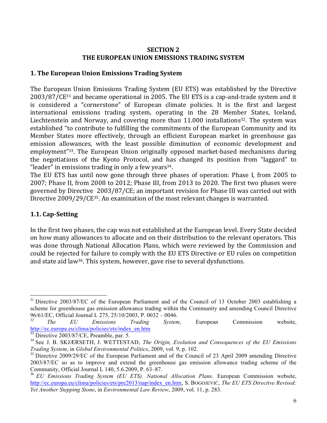#### **SECTION 2 THE+EUROPEAN+UNION+EMISSIONS+TRADING+SYSTEM**

## **1. The European Union Emissions Trading System**

The European Union Emissions Trading System (EU ETS) was established by the Directive  $2003/87/CE^{31}$  and became operational in 2005. The EU ETS is a cap-and-trade system and it is considered a "cornerstone" of European climate policies. It is the first and largest international emissions trading system, operating in the 28 Member States, Iceland, Liechtenstein and Norway, and covering more than  $11.000$  installations<sup>32</sup>. The system was established "to contribute to fulfilling the commitments of the European Community and its Member States more effectively, through an efficient European market in greenhouse gas emission allowances, with the least possible diminution of economic development and employment<sup>"33</sup>. The European Union originally opposed market-based mechanisms during the negotiations of the Kyoto Protocol, and has changed its position from "laggard" to "leader" in emissions trading in only a few years<sup>34</sup>.

The EU ETS has until now gone through three phases of operation: Phase I, from 2005 to 2007; Phase II, from 2008 to 2012; Phase III, from 2013 to 2020. The first two phases were governed by Directive 2003/87/CE; an important revision for Phase III was carried out with Directive 2009/29/CE<sup>35</sup>. An examination of the most relevant changes is warranted.

## **1.1. Cap'Setting**

In the first two phases, the cap was not established at the European level. Every State decided on how many allowances to allocate and on their distribution to the relevant operators. This was done through National Allocation Plans, which were reviewed by the Commission and could be rejected for failure to comply with the EU ETS Directive or EU rules on competition and state aid law<sup>36</sup>. This system, however, gave rise to several dysfunctions.

 $31$  Directive 2003/87/EC of the European Parliament and of the Council of 13 October 2003 establishing a scheme for greenhouse gas emission allowance trading within the Community and amending Council Directive 96/61/EC, Official Journal L 275, 25/10/2003, P. 0032 – 0046.

<sup>32</sup> *The EU Emissions Trading System*, European Commission website, http://ec.europa.eu/clima/policies/ets/index\_en.htm

 $33$  Directive 2003/87/CE, Preamble, par. 5.

<sup>34</sup> See J. B. SKJÆRSETH, J. WETTESTAD, *The Origin, Evolution and Consequences of the EU Emissions Trading System*, in *Global Environmental Politics*, 2009, vol. 9, p. 102.

<sup>&</sup>lt;sup>35</sup> Directive 2009/29/EC of the European Parliament and of the Council of 23 April 2009 amending Directive 2003/87/EC so as to improve and extend the greenhouse gas emission allowance trading scheme of the Community, Official Journal L 140, 5.6.2009, P. 63–87.

<sup>36</sup> *EU Emissions Trading System (EU ETS). National Allocation Plans*. European Commission website, http://ec.europa.eu/clima/policies/ets/pre2013/nap/index\_en.htm, S. BOGOJEVIĆ, *The EU ETS Directive Revised: Yet Another Stepping Stone*, in *Environmental Law Review*, 2009, vol. 11, p. 283.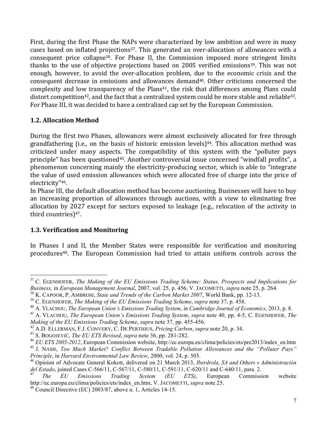First, during the first Phase the NAPs were characterized by low ambition and were in many cases based on inflated projections<sup>37</sup>. This generated an over-allocation of allowances with a consequent price collapse<sup>38</sup>. For Phase II, the Commission imposed more stringent limits thanks to the use of objective projections based on 2005 verified emissions<sup>39</sup>. This was not enough, however, to avoid the over-allocation problem, due to the economic crisis and the consequent decrease in emissions and allowances demand<sup>40</sup>. Other criticisms concerned the complexity and low transparency of the Plans<sup>41</sup>, the risk that differences among Plans could distort competition<sup>42</sup>, and the fact that a centralized system could be more stable and reliable<sup>43</sup>. For Phase III, it was decided to have a centralized cap set by the European Commission.

## **1.2.+Allocation+Method**

During the first two Phases, allowances were almost exclusively allocated for free through grandfathering (i.e., on the basis of historic emission levels)<sup>44</sup>. This allocation method was criticized under many aspects. The compatibility of this system with the "polluter pays" principle" has been questioned<sup>45</sup>. Another controversial issue concerned "windfall profits", a phenomenon concerning mainly the electricity-producing sector, which is able to "integrate" the value of used emission allowances which were allocated free of charge into the price of electricity"46.

In Phase III, the default allocation method has become auctioning. Businesses will have to buy an increasing proportion of allowances through auctions, with a view to eliminating free allocation by 2027 except for sectors exposed to leakage (e.g., relocation of the activity in third countries) $47$ .

### **1.3. Verification and Monitoring**

In Phases I and II, the Member States were responsible for verification and monitoring procedures<sup>48</sup>. The European Commission had tried to attain uniform controls across the

 <sup>37</sup> C. EGENHOFER, *The Making of the EU Emissions Trading Scheme: Status, Prospects and Implications for Business,* in *European Management Journal*, 2007, vol. 25, p. 456, V. JACOMETTI, *supra* note 25, p. 264.

<sup>38</sup> K. CAPOOR, P. AMBROSI, *State and Trends of the Carbon Market 2007*, World Bank, pp. 12-13.

<sup>39</sup> C. EGENHOFER, *The Making of the EU Emissions Trading Scheme*, *supra* note 37, p. 458.

<sup>40</sup> A. VLACHOU, *The European Union's Emissions Trading System*, in *Cambridge Journal of Economics*, 2013, p. 8.

<sup>41</sup> A. VLACHOU, *The European Union's Emissions Trading System*, *supra* note 40, pp. 4-5, C. EGENHOFER, *The Making of the EU Emissions Trading Scheme*, *supra* note 37, pp. 455-456.

<sup>42</sup> A.D. ELLERMAN, F.J. CONVERY, C. DE PERTHIUS, *Pricing Carbon*, *supra* note 20, p. 34.

<sup>43</sup> S. BOGOJEVIĆ, *The EU ETS Revised*, *supra* note 36, pp. 281-282.

<sup>&</sup>lt;sup>44</sup> *EU ETS 2005-2012*, European Commission website, http://ec.europa.eu/clima/policies/ets/pre2013/index\_en.htm <sup>45</sup> J. NASH, *Too Much Market? Conflict Between Tradable Pollution Allowances and the "Polluter Pays" Principle*, in *Harvard Environmental Law Review*, 2000, vol. 24, p. 505.

<sup>46</sup> Opinion of Advocate General Kokott, delivered on 21 March 2013, *Iberdrola, SA and Others v Administración del Estado*, joined Cases C-566/11, C-567/11, C-580/11, C-591/11, C-620/11 and C-640/11, para. 2.

<sup>47</sup> *The EU Emissions Trading System (EU ETS)*, European Commission website http://ec.europa.eu/clima/policies/ets/index\_en.htm, V. JACOMETTI, *supra* note 25.

 $^{48}$  Council Directive (EC) 2003/87, above n. 1, Articles 14-15.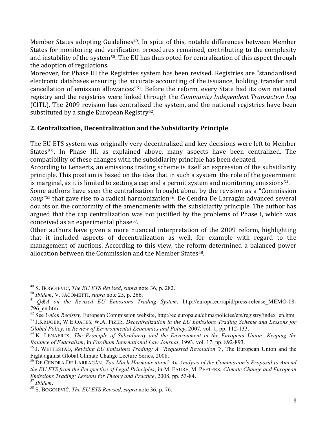Member States adopting Guidelines<sup>49</sup>. In spite of this, notable differences between Member States for monitoring and verification procedures remained, contributing to the complexity and instability of the system<sup>50</sup>. The EU has thus opted for centralization of this aspect through the adoption of regulations.

Moreover, for Phase III the Registries system has been revised. Registries are "standardised electronic databases ensuring the accurate accounting of the issuance, holding, transfer and cancellation of emission allowances"<sup>51</sup>. Before the reform, every State had its own national registry and the registries were linked through the *Community Independent Transaction Log* (CITL). The 2009 revision has centralized the system, and the national registries have been substituted by a single European Registry $52$ .

## **2.+Centralization,+Decentralization+and+the+Subsidiarity+Principle**

The EU ETS system was originally very decentralized and key decisions were left to Member States<sup>53</sup>. In Phase III, as explained above, many aspects have been centralized. The compatibility of these changes with the subsidiarity principle has been debated.

According to Lenaerts, an emissions trading scheme is itself an expression of the subsidiarity principle. This position is based on the idea that in such a system the role of the government is marginal, as it is limited to setting a cap and a permit system and monitoring emissions<sup>54</sup>.

Some authors have seen the centralization brought about by the revision as a "Commission" *coup*"<sup>55</sup> that gave rise to a radical harmonization<sup>56</sup>. De Cendra De Larragán advanced several doubts on the conformity of the amendments with the subsidiarity principle. The author has argued that the cap centralization was not justified by the problems of Phase I, which was conceived as an experimental phase<sup>57</sup>.

Other authors have given a more nuanced interpretation of the 2009 reform, highlighting that it included aspects of decentralization as well, for example with regard to the management of auctions. According to this view, the reform determined a balanced power allocation between the Commission and the Member States<sup>58</sup>.

 <sup>49</sup> S. BOGOJEVIĆ, *The EU ETS Revised*, *supra* note 36, p. 282.

<sup>50</sup> *Ibidem*, V. JACOMETTI, *supra* note 25, p. 266.

<sup>51</sup> *Q&A on the Revised EU Emissions Trading System*, http://europa.eu/rapid/press-release\_MEMO-08- 796\_en.htm.

<sup>52</sup> See *Union Registry*, European Commission website, http://ec.europa.eu/clima/policies/ets/registry/index\_en.htm <sup>53</sup> J.KRUGER, W.E.OATES, W.A. PIZER, *Decentralization in the EU Emissions Trading Scheme and Lessons for Global Policy*, in *Review of Environmental Economics and Policy*, 2007, vol. 1, pp. 112-133.

<sup>54</sup> K. LENAERTS, *The Principle of Subsidiarity and the Environment in the European Union: Keeping the Balance of Federalism*, in *Fordham International Law Journal*, 1993, vol. 17, pp. 892-893.

<sup>55</sup> J. WETTESTAD, *Revising EU Emissions Trading: A "Requested Revolution"?*, The European Union and the Fight against Global Climate Change Lecture Series, 2008.

<sup>56</sup> DE CENDRA DE LARRAGÁN, *Too Much Harmonization? An Analysis of the Commission's Proposal to Amend the EU ETS from the Perspective of Legal Principles*, in M. FAURE, M. PEETERS, *Climate Change and European Emissions Trading: Lessons for Theory and Practice*, 2008, pp. 53-84.

<sup>57</sup> *Ibidem*. <sup>58</sup> S. BOGOJEVIĆ, *The EU ETS Revised*, *supra* note 36, p. 76.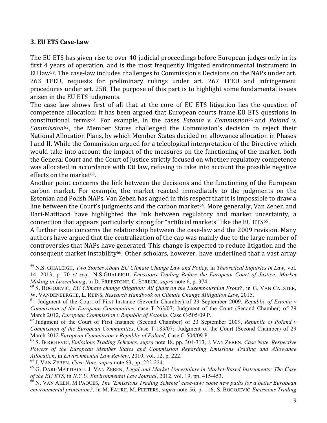#### **3. EU ETS Case-Law**

The EU ETS has given rise to over 40 judicial proceedings before European judges only in its first 4 years of operation, and is the most frequently litigated environmental instrument in EU law<sup>59</sup>. The case-law includes challenges to Commission's Decisions on the NAPs under art. 263 TFEU, requests for preliminary rulings under art. 267 TFEU and infringement procedures under art. 258. The purpose of this part is to highlight some fundamental issues arisen in the EU ETS judgments.

The case law shows first of all that at the core of EU ETS litigation lies the question of competence allocation: it has been argued that European courts frame EU ETS questions in constitutional terms<sup>60</sup>. For example, in the cases *Estonia v. Commission*<sup>61</sup> and *Poland v. Commission*<sup>62</sup>, the Member States challenged the Commission's decision to reject their National Allocation Plans, by which Member States decided on allowance allocation in Phases I and II. While the Commission argued for a teleological interpretation of the Directive which would take into account the impact of the measures on the functioning of the market, both the General Court and the Court of Justice strictly focused on whether regulatory competence was allocated in accordance with EU law, refusing to take into account the possible negative effects on the market $63$ .

Another point concerns the link between the decisions and the functioning of the European carbon market. For example, the market reacted immediately to the judgments on the Estonian and Polish NAPs. Van Zeben has argued in this respect that it is impossible to draw a line between the Court's judgments and the carbon market<sup>64</sup>. More generally, Van Zeben and Dari-Mattiacci have highlighted the link between regulatory and market uncertainty, a connection that appears particularly strong for "artificial markets" like the EU ETS<sup>65</sup>.

A further issue concerns the relationship between the case-law and the 2009 revision. Many authors have argued that the centralization of the cap was mainly due to the large number of controversies that NAPs have generated. This change is expected to reduce litigation and the consequent market instability<sup>66</sup>. Other scholars, however, have underlined that a vast array

 <sup>59</sup> N.S. GHALEIGH, *Two Stories About EU Climate Change Law and Policy*, in *Theoretical Inquiries in Law*, vol. 14, 2013, p. 70 *et seq.*, N.S.GHALEIGH, *Emissions Trading Before the European Court of Justice: Market Making in Luxembourg*, in D. FREESTONE, C. STRECK, *supra* note 6, p. 374.

<sup>60</sup> S. BOGOJEVIĆ, *EU Climate change litigation: All Quiet on the Luxembourgian Front?*, in G. VAN CALSTER, W. VANDENBERGHE, L. REINS, *Research Handbook on Climate Change Mitigation Law*, 2015.

<sup>61</sup> Judgment of the Court of First Instance (Seventh Chamber) of 23 September 2009, *Republic of Estonia v Commission of the European Communities*, case T-263/07; Judgment of the Court (Second Chamber) of 29 March 2012, *European Commission v Republic of Estonia*, Case C-505/09 P.

<sup>62</sup> Judgment of the Court of First Instance (Second Chamber) of 23 September 2009, *Republic of Poland v Commission of the European Communities*, Case T-183/07; Judgment of the Court (Second Chamber) of 29 March 2012 *European Commission v Republic of Poland*, Case C-504/09 P.

<sup>63</sup> S. BOGOJEVIĆ, *Emissions Trading Schemes*, *supra* note 18, pp. 304-313, J. VAN ZEBEN, *Case Note. Respective Powers of the European Member States and Commission Regarding Emissions Trading and Allowance Allocation*, in *Environmental Law Review*, 2010, vol. 12, p. 222.

<sup>64</sup> J. VAN ZEBEN, *Case Note*, *supra* note 63, pp. 222-224.

<sup>65</sup> G. DARI-MATTIACCI, J. VAN ZEBEN, *Legal and Market Uncertainty in Market-Based Instruments: The Case of the EU ETS*, in *N.Y.U. Environmental Law Journal*, 2012, vol. 19, pp. 415-453.

<sup>66</sup> N. VAN AKEN, M PAQUES, *The 'Emissions Trading Scheme' case-law: some new paths for a better European environmental protection?,* in M. FAURE, M. PEETERS, *supra* note 56, p. 116, S. BOGOJEVIĆ *Emissions Trading*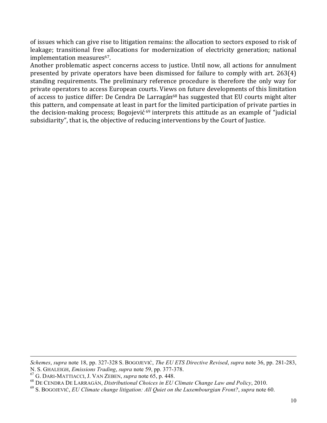of issues which can give rise to litigation remains: the allocation to sectors exposed to risk of leakage; transitional free allocations for modernization of electricity generation; national implementation measures<sup>67</sup>.

Another problematic aspect concerns access to justice. Until now, all actions for annulment presented by private operators have been dismissed for failure to comply with art. 263(4) standing requirements. The preliminary reference procedure is therefore the only way for private operators to access European courts. Views on future developments of this limitation of access to justice differ: De Cendra De Larragán<sup>68</sup> has suggested that EU courts might alter this pattern, and compensate at least in part for the limited participation of private parties in the decision-making process; Bogojević  $69$  interprets this attitude as an example of "judicial" subsidiarity", that is, the objective of reducing interventions by the Court of Justice.

 $\overline{a}$ 

*Schemes*, *supra* note 18, pp. 327-328 S. BOGOJEVIĆ, *The EU ETS Directive Revised*, *supra* note 36, pp. 281-283, N. S. GHALEIGH, *Emissions Trading*, *supra* note 59, pp. 377-378.

<sup>67</sup> G. DARI-MATTIACCI, J. VAN ZEBEN, *supra* note 65, p. 448.

<sup>68</sup> DE CENDRA DE LARRAGÁN, *Distributional Choices in EU Climate Change Law and Policy*, 2010.

<sup>69</sup> S. BOGOJEVIĆ, *EU Climate change litigation: All Quiet on the Luxembourgian Front?*, *supra* note 60.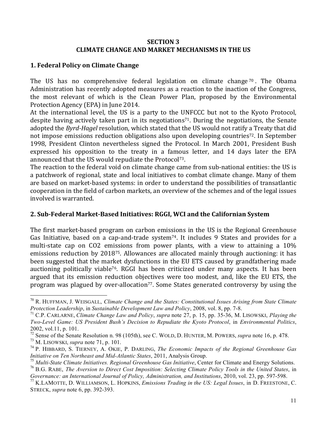#### **SECTION+3 CLIMATE CHANGE AND MARKET MECHANISMS IN THE US**

#### **1. Federal Policy on Climate Change**

The US has no comprehensive federal legislation on climate change  $70$ . The Obama Administration has recently adopted measures as a reaction to the inaction of the Congress, the most relevant of which is the Clean Power Plan, proposed by the Environmental Protection Agency (EPA) in June 2014.

At the international level, the US is a party to the UNFCCC but not to the Kyoto Protocol, despite having actively taken part in its negotiations<sup>71</sup>. During the negotiations, the Senate adopted the *Byrd-Hagel* resolution, which stated that the US would not ratify a Treaty that did not impose emissions reduction obligations also upon developing countries<sup>72</sup>. In September 1998, President Clinton nevertheless signed the Protocol. In March 2001, President Bush expressed his opposition to the treaty in a famous letter, and 14 days later the EPA announced that the US would repudiate the Protocol<sup>73</sup>.

The reaction to the federal void on climate change came from sub-national entities: the US is a patchwork of regional, state and local initiatives to combat climate change. Many of them are based on market-based systems: in order to understand the possibilities of transatlantic cooperation in the field of carbon markets, an overview of the schemes and of the legal issues involved is warranted.

### **2.+Sub'Federal+Market'Based+Initiatives:+RGGI,+WCI+and+the+Californian+System**

The first market-based program on carbon emissions in the US is the Regional Greenhouse Gas Initiative, based on a cap-and-trade system<sup>74</sup>. It includes 9 States and provides for a multi-state cap on CO2 emissions from power plants, with a view to attaining a 10% emissions reduction by 2018<sup>75</sup>. Allowances are allocated mainly through auctioning: it has been suggested that the market dysfunctions in the EU ETS caused by grandfathering made auctioning politically viable<sup>76</sup>. RGGI has been criticized under many aspects. It has been argued that its emission reduction objectives were too modest, and, like the EU ETS, the program was plagued by over-allocation<sup>77</sup>. Some States generated controversy by using the

 <sup>70</sup> R. HUFFMAN, J. WEISGALL, *Climate Change and the States: Constitutional Issues Arising from State Climate Protection Leadership*, in *Sustainable Development Law and Policy*, 2008, vol. 8, pp. 7-8.

<sup>71</sup> C.P. CARLARNE, *Climate Change Law and Policy*, *supra* note 27, p. 15, pp. 35-36, M. LISOWSKI, *Playing the Two-Level Game: US President Bush's Decision to Repudiate the Kyoto Protocol*, in *Environmental Politics*, 2002, vol.11, p. 101.

 $\frac{72}{72}$  Sense of the Senate Resolution n. 98 (105th), see C. WOLD, D. HUNTER, M. POWERS, *supra* note 16, p. 478.<br><sup>73</sup> M. LISOWSKI, *supra* note 71, p. 101.

<sup>&</sup>lt;sup>74</sup> P. HIBBARD, S. TIERNEY, A. OKIE, P. DARLING, *The Economic Impacts of the Regional Greenhouse Gas Initiative on Ten Northeast and Mid-Atlantic States*, 2011, Analysis Group.

<sup>75</sup> *Multi-State Climate Initiatives. Regional Greenhouse Gas Initiative*, Center for Climate and Energy Solutions.

<sup>76</sup> B.G. RABE, *The Aversion to Direct Cost Imposition: Selecting Climate Policy Tools in the United States*, in *Governance: an International Journal of Policy, Administration, and Institutions*, 2010, vol. 23, pp. 597-598.

<sup>77</sup> K.LAMOTTE, D. WILLIAMSON, L. HOPKINS, *Emissions Trading in the US: Legal Issues*, in D. FREESTONE, C. STRECK, *supra* note 6, pp. 392-393.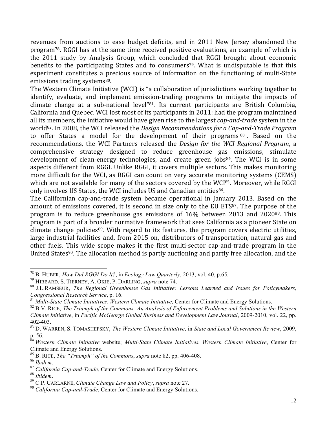revenues from auctions to ease budget deficits, and in 2011 New Jersey abandoned the program<sup>78</sup>. RGGI has at the same time received positive evaluations, an example of which is the 2011 study by Analysis Group, which concluded that RGGI brought about economic benefits to the participating States and to consumers<sup>79</sup>. What is undisputable is that this experiment constitutes a precious source of information on the functioning of multi-State emissions trading systems<sup>80</sup>.

The Western Climate Initiative (WCI) is "a collaboration of jurisdictions working together to identify, evaluate, and implement emission-trading programs to mitigate the impacts of climate change at a sub-national level"<sup>81</sup>. Its current participants are British Columbia, California and Quebec. WCI lost most of its participants in 2011: had the program maintained all its members, the initiative would have given rise to the largest *cap-and-trade* system in the world<sup>82</sup>. In 2008, the WCI released the *Design Recommendations for a Cap-and-Trade Program* to offer States a model for the development of their programs  $83$ . Based on the recommendations, the WCI Partners released the *Design for the WCI Regional Program*, a comprehensive strategy designed to reduce greenhouse gas emissions, stimulate development of clean-energy technologies, and create green jobs<sup>84</sup>. The WCI is in some aspects different from RGGI. Unlike RGGI, it covers multiple sectors. This makes monitoring more difficult for the WCI, as RGGI can count on very accurate monitoring systems (CEMS) which are not available for many of the sectors covered by the WCI85. Moreover, while RGGI only involves US States, the WCI includes US and Canadian entities86.

The Californian cap-and-trade system became operational in January 2013. Based on the amount of emissions covered, it is second in size only to the EU ETS87. The purpose of the program is to reduce greenhouse gas emissions of  $16\%$  between 2013 and 2020 $^{88}$ . This program is part of a broader normative framework that sees California as a pioneer State on climate change policies<sup>89</sup>. With regard to its features, the program covers electric utilities, large industrial facilities and, from 2015 on, distributors of transportation, natural gas and other fuels. This wide scope makes it the first multi-sector cap-and-trade program in the United States<sup>90</sup>. The allocation method is partly auctioning and partly free allocation, and the

 <sup>78</sup> B. HUBER, *How Did RGGI Do It?*, in *Ecology Law Quarterly*, 2013, vol. 40, p.65.

<sup>&</sup>lt;sup>80</sup> J.L.RAMSEUR, The Regional Greenhouse Gas Initiative: Lessons Learned and Issues for Policymakers, *Congressional Research Service*, p. 16.

<sup>81</sup> *Multi-State Climate Initiatives. Western Climate Initiative*, Center for Climate and Energy Solutions.

<sup>82</sup> B.V. RICE, *The Triumph of the Commons: An Analysis of Enforcement Problems and Solutions in the Western Climate Initiative*, in *Pacific McGeorge Global Business and Development Law Journal*, 2009-2010, vol. 22, pp. 402-403.

<sup>83</sup> D. WARREN, S. TOMASHEFSKY, *The Western Climate Initiative*, in *State and Local Government Review*, 2009, p. 56.

<sup>84</sup> *Western Climate Initiative* website; *Multi-State Climate Initiatives. Western Climate Initiative*, Center for Climate and Energy Solutions.

<sup>85</sup> B. RICE, *The "Triumph" of the Commons*, *supra* note 82, pp. 406-408.

<sup>&</sup>lt;sup>87</sup> *California Cap-and-Trade*, Center for Climate and Energy Solutions.<br><sup>88</sup> *Ibidem*.

<sup>88</sup> *Ibidem*. <sup>89</sup> C.P. CARLARNE, *Climate Change Law and Policy*, *supra* note 27.

<sup>90</sup> *California Cap-and-Trade*, Center for Climate and Energy Solutions.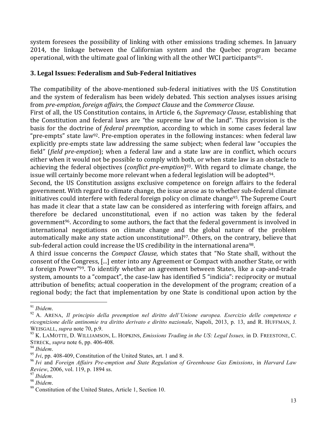system foresees the possibility of linking with other emissions trading schemes. In January 2014, the linkage between the Californian system and the Quebec program became operational, with the ultimate goal of linking with all the other WCI participants<sup>91</sup>.

## **3.+Legal+Issues:+Federalism+and+Sub'Federal+Initiatives**

The compatibility of the above-mentioned sub-federal initiatives with the US Constitution and the system of federalism has been widely debated. This section analyses issues arising from"*pre\$emption*,"*foreign,affairs*,"the"*Compact,Clause* and"the"*Commerce,Clause*.

First of all, the US Constitution contains, in Article 6, the *Supremacy Clause*, establishing that the Constitution and federal laws are "the supreme law of the land". This provision is the basis for the doctrine of *federal preemption*, according to which in some cases federal law "pre-empts" state law<sup>92</sup>. Pre-emption operates in the following instances: when federal law explicitly pre-empts state law addressing the same subject; when federal law "occupies the field" (*field pre-emption*); when a federal law and a state law are in conflict, which occurs either when it would not be possible to comply with both, or when state law is an obstacle to achieving the federal objectives (*conflict pre-emption*)<sup>93</sup>. With regard to climate change, the issue will certainly become more relevant when a federal legislation will be adopted<sup>94</sup>.

Second, the US Constitution assigns exclusive competence on foreign affairs to the federal government. With regard to climate change, the issue arose as to whether sub-federal climate initiatives could interfere with federal foreign policy on climate change<sup>95</sup>. The Supreme Court has made it clear that a state law can be considered as interfering with foreign affairs, and therefore be declared unconstitutional, even if no action was taken by the federal government<sup>96</sup>. According to some authors, the fact that the federal government is involved in international negotiations on climate change and the global nature of the problem automatically make any state action unconstitutional<sup>97</sup>. Others, on the contrary, believe that sub-federal action could increase the US credibility in the international arena<sup>98</sup>.

A third issue concerns the *Compact Clause*, which states that "No State shall, without the consent of the Congress, [...] enter into any Agreement or Compact with another State, or with a foreign Power"<sup>99</sup>. To identify whether an agreement between States, like a cap-and-trade system, amounts to a "compact", the case-law has identified 5 "indicia": reciprocity or mutual attribution of benefits; actual cooperation in the development of the program; creation of a regional body; the fact that implementation by one State is conditional upon action by the

<sup>91</sup> *Ibidem*. <sup>92</sup> A. ARENA, *Il principio della preemption nel diritto dell'Unione europea. Esercizio delle competenze e ricognizione delle antinomie tra diritto derivato e diritto nazionale*, Napoli, 2013, p. 13, and R. HUFFMAN, J. WEISGALL, *supra* note 70, p.9.<br><sup>93</sup> K. LAMOTTE, D. WILLIAMSON, L. HOPKINS, *Emissions Trading in the US: Legal Issues*, in D. FREESTONE, C.

STRECK, *supra* note 6, pp. 406-408.

<sup>&</sup>lt;sup>95</sup> *Ivi*, pp. 408-409, Constitution of the United States, art. 1 and 8.

<sup>96</sup> *Ivi* and *Foreign Affairs Pre-emption and State Regulation of Greenhouse Gas Emissions*, in *Harvard Law Review*, 2006, vol. 119, p. 1894 ss.<br><sup>97</sup> Ibidem.

<sup>&</sup>lt;sup>98</sup> *Ibidem*.<br><sup>99</sup> Constitution of the United States, Article 1, Section 10.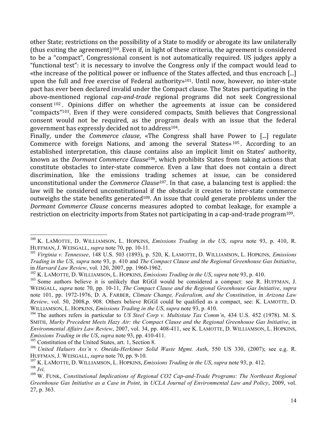other State; restrictions on the possibility of a State to modify or abrogate its law unilaterally (thus exiting the agreement)<sup>100</sup>. Even if, in light of these criteria, the agreement is considered to be a "compact", Congressional consent is not automatically required. US judges apply a " functional test": it is necessary to involve the Congress only if the compact would lead to «the increase of the political power or influence of the States affected, and thus encroach [...] upon the full and free exercise of Federal authority»<sup>101</sup>. Until now, however, no inter-state pact has ever been declared invalid under the Compact clause. The States participating in the above-mentioned regional *cap-and-trade* regional programs did not seek Congressional consent  $102$ . Opinions differ on whether the agreements at issue can be considered " compacts"<sup>103</sup>. Even if they were considered compacts, Smith believes that Congressional consent would not be required, as the program deals with an issue that the federal government has expressly decided not to address<sup>104</sup>.

Finally, under the *Commerce clause*, «The Congress shall have Power to [...] regulate Commerce with foreign Nations, and among the several States»  $105$ . According to an established interpretation, this clause contains also an implicit limit on States' authority, known as the *Dormant Commerce Clause*<sup>106</sup>, which prohibits States from taking actions that constitute obstacles to inter-state commerce. Even a law that does not contain a direct discrimination, like the emissions trading schemes at issue, can be considered unconstitutional under the *Commerce Clause*<sup>107</sup>. In that case, a balancing test is applied: the law will be considered unconstitutional if the obstacle it creates to inter-state commerce outweighs the state benefits generated<sup>108</sup>. An issue that could generate problems under the *Dormant Commerce Clause* concerns measures adopted to combat leakage, for example a restriction on electricity imports from States not participating in a cap-and-trade program<sup>109</sup>.

<sup>105</sup> Constitution of the United States, art. 1, Section 8.

 <sup>100</sup> K. LAMOTTE, D. WILLIAMSON, L. HOPKINS, *Emissions Trading in the US*, *supra* note 93, p. 410, R. HUFFMAN, J. WEISGALL, *supra* note 70, pp. 10-11.

<sup>101</sup> *Virginia v. Tennessee*, 148 U.S. 503 (1893), p. 520, K. LAMOTTE, D. WILLIAMSON, L. HOPKINS, *Emissions Trading in the US*, *supra* note 93, p. 410 and *The Compact Clause and the Regional Greenhouse Gas Initiative*, in *Harvard Law Review*, vol. 120, 2007, pp. 1960-1962.

<sup>102</sup> K. LAMOTTE, D. WILLIAMSON, L. HOPKINS, *Emissions Trading in the US*, *supra* note 93, p. 410.

<sup>&</sup>lt;sup>103</sup> Some authors believe it is unlikely that RGGI would be considered a compact: see R. HUFFMAN, J. WEISGALL, *supra* note 70, pp. 10-11, *The Compact Clause and the Regional Greenhouse Gas Initiative*, *supra*  note 101, pp. 1972-1976, D. A. FARBER, *Climate Change, Federalism, and the Constitution*, in *Arizona Law Review*, vol. 50, 2008,p. 908. Others believe RGGI could be qualified as a compact, see: K. LAMOTTE, D. WILLIAMSON, L. HOPKINS, *Emissions Trading in the US*, *supra* note 93, p. 410.<br><sup>104</sup> The authors refers in particular to *US Steel Corp v. Multistate Tax Comm'n*, 434 U.S. 452 (1978). M. S.

SMITH, *Murky Precedent Meets Hazy Air: the Compact Clause and the Regional Greenhouse Gas Initiative*, in *Environmental Affairs Law Review*, 2007, vol. 34, pp. 408-411, see K. LAMOTTE, D. WILLIAMSON, L. HOPKINS, *Emissions Trading in the US*, *supra* note 93, pp. 410-411.

<sup>106</sup> *United Haluers Ass'n v. Oneida-Herkimer Solid Waste Mgmt. Auth*, 550 US 330, (2007); see e.g. R. HUFFMAN, J. WEISGALL, *supra* note 70, pp. 9-10.

<sup>&</sup>lt;sup>107</sup> K. LAMOTTE, D. WILLIAMSON, L. HOPKINS, *Emissions Trading in the US*, *supra* note 93, p. 412.<br><sup>108</sup> *Ivi* 

<sup>&</sup>lt;sup>109</sup> W. FUNK, *Constitutional Implications of Regional CO2 Cap-and-Trade Programs: The Northeast Regional Greenhouse Gas Initiative as a Case in Point*, in *UCLA Journal of Environmental Law and Policy*, 2009, vol. 27, p. 363.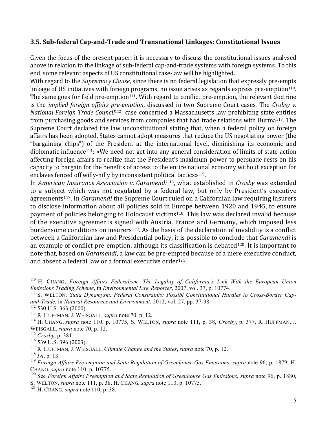#### **3.5.+Sub'federal+Cap'and'Trade+and+Transnational+Linkages:+Constitutional+Issues**

Given the focus of the present paper, it is necessary to discuss the constitutional issues analysed above in relation to the linkage of sub-federal cap-and-trade systems with foreign systems. To this end, some relevant aspects of US constitutional case-law will be highlighted.

With regard to the *Supremacy Clause*, since there is no federal legislation that expressly pre-empts linkage of US initiatives with foreign programs, no issue arises as regards express pre-emption<sup>110</sup>. The same goes for field pre-emption<sup>111</sup>. With regard to conflict pre-emption, the relevant doctrine" is the *implied foreign affairs pre-emption*, discussed in two Supreme Court cases. The *Crobsy v. National Foreign Trade Council<sup>112</sup>* case concerned a Massachusetts law prohibiting state entities from purchasing goods and services from companies that had trade relations with Burma<sup>113</sup>. The Supreme Court declared the law unconstitutional stating that, when a federal policy on foreign affairs has been adopted, States cannot adopt measures that reduce the US negotiating power (the "bargaining chips") of the President at the international level, diminishing its economic and diplomatic influence<sup>114</sup>: «We need not get into any general consideration of limits of state action affecting foreign affairs to realize that the President's maximum power to persuade rests on his capacity to bargain for the benefits of access to the entire national economy without exception for enclaves fenced off willy-nilly by inconsistent political tactics»<sup>115</sup>.

In *American Insurance Association v. Garamendi<sup>116</sup>, what established in <i>Crosby* was extended to a subject which was not regulated by a federal law, but only by President's executive agreements<sup>117</sup>. In *Garamendi* the Supreme Court ruled on a Californian law requiring insurers to disclose information about all policies sold in Europe between 1920 and 1945, to ensure payment of policies belonging to Holocaust victims<sup>118</sup>. This law was declared invalid because of the executive agreements signed with Austria, France and Germany, which imposed less burdensome conditions on insurers<sup>119</sup>. As the basis of the declaration of invalidity is a conflict between a Californian law and Presidential policy, it is possible to conclude that *Garamendi* is an example of conflict pre-emption, although its classification is debated<sup>120</sup>. It is important to note that, based on *Garamendi*, a law can be pre-empted because of a mere executive conduct, and absent a federal law or a formal executive order<sup>121</sup>.

 <sup>110</sup> H. CHANG, *Foreign Affairs Federalism: The Legality of California's Link With the European Union Emissions Trading Scheme*, in *Environmental Law Reporter*, 2007, vol. 37, p. 10774.

<sup>&</sup>lt;sup>111</sup> S. WELTON, Stata Dynamysm, Federal Constraints: Possibl Constitutional Hurdles to Cross-Border Cap*and-Trade*, in *Natural Resources and Environment*, 2012, vol. 27, pp. 37-38.

<sup>112</sup> 530 U.S. 363 (2000).

<sup>113</sup> R. HUFFMAN, J. WEISGALL, *supra* note 70, p. 12.

<sup>114</sup> H. CHANG, *supra* note 110, p. 10775, S. WELTON, *supra* note 111, p. 38, *Crosby*, p. 377, R. HUFFMAN, J. WEISGALL, *supra* note 70, p. 12.

<sup>115</sup> *Crosby*, p. 381.

<sup>116</sup> 539 U.S. 396 (2003).

<sup>117</sup> R. HUFFMAN, J. WEISGALL, *Climate Change and the States*, *supra* note 70, p. 12.

<sup>118</sup> *Ivi*, p. 13.

<sup>119</sup> *Foreign Affairs Pre-emption and State Regulation of Greenhouse Gas Emissions*, *supra* note 96, p. 1879, H. CHANG, *supra* note 110, p. 10775.

<sup>120</sup> See *Foreign Affairs Preemption and State Regulation of Greenhouse Gas Emissions, supra* note 96, p. 1880, S. WELTON, *supra* note 111, p. 38, H. CHANG, *supra* note 110, p. 10775.

<sup>121</sup> H. CHANG, *supra* note 110, p. 38.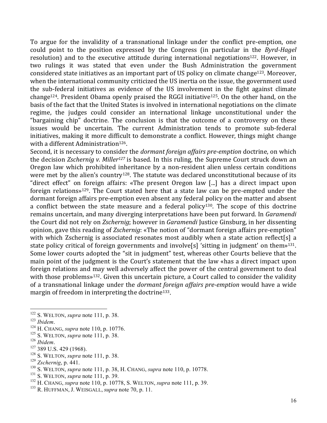To argue for the invalidity of a transnational linkage under the conflict pre-emption, one could point to the position expressed by the Congress (in particular in the *Byrd-Hagel* resolution) and to the executive attitude during international negotiations<sup>122</sup>. However, in two rulings it was stated that even under the Bush Administration the government considered state initiatives as an important part of US policy on climate change<sup>123</sup>. Moreover, when the international community criticized the US inertia on the issue, the government used the sub-federal initiatives as evidence of the US involvement in the fight against climate change<sup>124</sup>. President Obama openly praised the RGGI initiative<sup>125</sup>. On the other hand, on the basis of the fact that the United States is involved in international negotiations on the climate regime, the judges could consider an international linkage unconstitutional under the "bargaining chip" doctrine. The conclusion is that the outcome of a controversy on these issues would be uncertain. The current Administration tends to promote sub-federal initiatives, making it more difficult to demonstrate a conflict. However, things might change with a different Administration<sup>126</sup>.

Second, it is necessary to consider the *dormant foreign affairs pre-emption* doctrine, on which the decision *Zschernig v. Miller<sup>127</sup>* is based. In this ruling, the Supreme Court struck down an Oregon law which prohibited inheritance by a non-resident alien unless certain conditions were met by the alien's country<sup>128</sup>. The statute was declared unconstitutional because of its "direct effect" on foreign affairs: «The present Oregon law [...] has a direct impact upon foreign relations»<sup>129</sup>. The Court stated here that a state law can be pre-empted under the dormant foreign affairs pre-emption even absent any federal policy on the matter and absent a conflict between the state measure and a federal policy<sup>130</sup>. The scope of this doctrine remains uncertain, and many diverging interpretations have been put forward. In *Garamendi* the Court did not rely on *Zschernig*; however in *Garamendi* Justice Ginsburg, in her dissenting opinion, gave this reading of *Zschernig*: «The notion of "dormant foreign affairs pre-emption" with which Zschernig is associated resonates most audibly when a state action reflect[s] a state policy critical of foreign governments and involve<sup>[s]</sup> 'sitting in judgment' on them»<sup>131</sup>. Some lower courts adopted the "sit in judgment" test, whereas other Courts believe that the main point of the judgment is the Court's statement that the law «has a direct impact upon foreign relations and may well adversely affect the power of the central government to deal with those problems»<sup>132</sup>. Given this uncertain picture, a Court called to consider the validity of a transnational linkage under the *dormant foreign affairs pre-emption* would have a wide margin of freedom in interpreting the doctrine<sup>133</sup>.

- 122 S. WELTON, *supra* note 111, p. 38.
- 
- <sup>124</sup> H. CHANG, *supra* note 110, p. 10776.
- <sup>125</sup> S. WELTON, *supra* note 111, p. 38.<br><sup>126</sup> *Ibidem*.
- 
- <sup>127</sup> 389 U.S. 429 (1968).
- <sup>128</sup> S. WELTON, *supra* note 111, p. 38.
- <sup>129</sup> *Zschernig*, p. 441.
- <sup>130</sup> S. WELTON, *supra* note 111, p. 38, H. CHANG, *supra* note 110, p. 10778.
- <sup>131</sup> S. WELTON, *supra* note 111, p. 39.
- <sup>132</sup> H. CHANG, *supra* note 110, p. 10778, S. WELTON, *supra* note 111, p. 39.
- <sup>133</sup> R. HUFFMAN, J. WEISGALL, *supra* note 70, p. 11.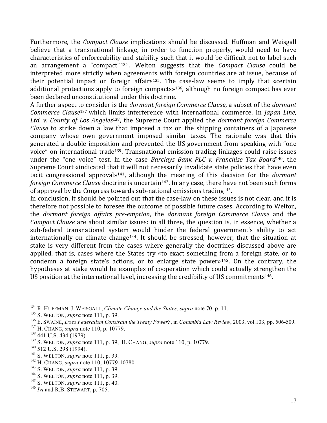Furthermore, the *Compact Clause* implications should be discussed. Huffman and Weisgall believe that a transnational linkage, in order to function properly, would need to have characteristics of enforceability and stability such that it would be difficult not to label such an arrangement a "compact" <sup>134</sup>. Welton suggests that the *Compact Clause* could be interpreted more strictly when agreements with foreign countries are at issue, because of their potential impact on foreign affairs<sup>135</sup>. The case-law seems to imply that «certain" additional protections apply to foreign compacts»<sup>136</sup>, although no foreign compact has ever been declared unconstitutional under this doctrine.

A"further"aspect"to"consider"is"the"*dormant,foreign,Commerce,Clause*,"a"subset"of"the"*dormant, Commerce Clause*<sup>137</sup> which limits interference with international commerce. In *Japan Line*, *Ltd. v. County of Los Angeles*<sup>138</sup>, the Supreme Court applied the *dormant foreign Commerce Clause* to strike down a law that imposed a tax on the shipping containers of a Japanese company whose own government imposed similar taxes. The rationale was that this generated a double imposition and prevented the US government from speaking with "one voice" on international trade<sup>139</sup>. Transnational emission trading linkages could raise issues under the "one voice" test. In the case *Barclays Bank PLC v. Franchise Tax Board*<sup>140</sup>, the Supreme Court «indicated that it will not necessarily invalidate state policies that have even tacit congressional approval»<sup>141</sup>, although the meaning of this decision for the *dormant foreign Commerce Clause* doctrine is uncertain<sup>142</sup>. In any case, there have not been such forms of approval by the Congress towards sub-national emissions trading<sup>143</sup>.

In conclusion, it should be pointed out that the case-law on these issues is not clear, and it is therefore not possible to foresee the outcome of possible future cases. According to Welton, the *dormant foreign affairs pre-emption*, the *dormant foreign Commerce Clause* and the *Compact Clause* are about similar issues: in all three, the question is, in essence, whether a sub-federal transnational system would hinder the federal government's ability to act internationally on climate change<sup>144</sup>. It should be stressed, however, that the situation at stake is very different from the cases where generally the doctrines discussed above are applied, that is, cases where the States try «to exact something from a foreign state, or to condemn a foreign state's actions, or to enlarge state power»<sup>145</sup>. On the contrary, the hypotheses at stake would be examples of cooperation which could actually strengthen the US position at the international level, increasing the credibility of US commitments<sup>146</sup>.

 <sup>134</sup> R. HUFFMAN, J. WEISGALL, *Climate Change and the States*, *supra* note 70, p. 11.

<sup>135</sup> S. WELTON, *supra* note 111, p. 39.

<sup>136</sup> E. SWAINE, *Does Federalism Constrain the Treaty Power?*, in *Columbia Law Review*, 2003, vol.103, pp. 506-509.

<sup>137</sup> H. CHANG, *supra* note 110, p. 10779.

<sup>138</sup> 441 U.S. 434 (1979).

<sup>139</sup> S. WELTON, *supra* note 111, p. 39, H. CHANG, *supra* note 110, p. 10779.

<sup>&</sup>lt;sup>140</sup> 512 U.S. 298 (1994).

<sup>141</sup> S. WELTON, *supra* note 111, p. 39.

<sup>142</sup> H. CHANG, *supra* note 110, 10779-10780.

<sup>143</sup> S. WELTON, *supra* note 111, p. 39.

<sup>144</sup> S. WELTON, *supra* note 111, p. 39.

<sup>145</sup> S. WELTON, *supra* note 111, p. 40.

<sup>146</sup> *Ivi* and R.B. STEWART, p. 705.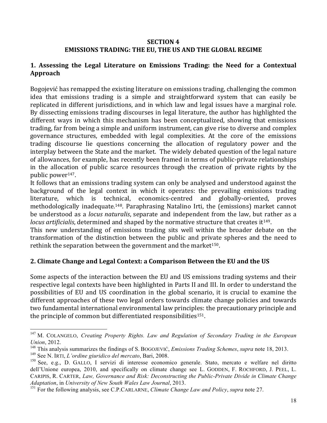## **SECTION 4** EMISSIONS TRADING: THE EU, THE US AND THE GLOBAL REGIME

## **1. Assessing the Legal Literature on Emissions Trading: the Need for a Contextual Approach**

Bogojević has remapped the existing literature on emissions trading, challenging the common idea that emissions trading is a simple and straightforward system that can easily be replicated in different jurisdictions, and in which law and legal issues have a marginal role. By dissecting emissions trading discourses in legal literature, the author has highlighted the different ways in which this mechanism has been conceptualized, showing that emissions trading, far from being a simple and uniform instrument, can give rise to diverse and complex governance structures, embedded with legal complexities. At the core of the emissions trading discourse lie questions concerning the allocation of regulatory power and the interplay between the State and the market. The widely debated question of the legal nature of allowances, for example, has recently been framed in terms of public-private relationships in the allocation of public scarce resources through the creation of private rights by the public power<sup>147</sup>.

It follows that an emissions trading system can only be analysed and understood against the background of the legal context in which it operates: the prevailing emissions trading literature, which is technical, economics-centred and globally-oriented, proves methodologically inadequate.<sup>148</sup>. Paraphrasing Natalino Irti, the (emissions) market cannot be understood as a *locus naturalis*, separate and independent from the law, but rather as a *locus artificialis*, determined and shaped by the normative structure that creates it<sup>149</sup>.

This new understanding of emissions trading sits well within the broader debate on the transformation of the distinction between the public and private spheres and the need to rethink the separation between the government and the market<sup>150</sup>.

## **2. Climate Change and Legal Context: a Comparison Between the EU and the US**

Some aspects of the interaction between the EU and US emissions trading systems and their respective legal contexts have been highlighted in Parts II and III. In order to understand the possibilities of EU and US coordination in the global scenario, it is crucial to examine the different approaches of these two legal orders towards climate change policies and towards two fundamental international environmental law principles: the precautionary principle and the principle of common but differentiated responsibilities<sup>151</sup>.

 <sup>147</sup> M. COLANGELO, *Creating Property Rights. Law and Regulation of Secondary Trading in the European Union*, 2012.

<sup>148</sup> This analysis summarizes the findings of S. BOGOJEVIĆ, *Emissions Trading Schemes*, *supra* note 18, 2013.

<sup>149</sup> See N. IRTI, *L'ordine giuridico del mercato*, Bari, 2008.

<sup>150</sup> See, e.g., D. GALLO, I servizi di interesse economico generale. Stato, mercato e welfare nel diritto dell'Unione europea, 2010, and specifically on climate change see L. GODDEN, F. ROCHFORD, J. PEEL, L. CARIPIS, R. CARTER, *Law, Governance and Risk: Deconstructing the Public-Private Divide in Climate Change Adaptation*, in *University of New South Wales Law Journal*, 2013.

<sup>151</sup> For the following analysis, see C.P.CARLARNE, *Climate Change Law and Policy*, *supra* note 27.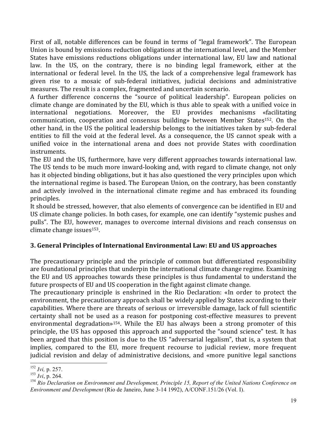First of all, notable differences can be found in terms of "legal framework". The European Union is bound by emissions reduction obligations at the international level, and the Member States have emissions reductions obligations under international law. EU law and national law. In the US, on the contrary, there is no binding legal framework, either at the international or federal level. In the US, the lack of a comprehensive legal framework has given rise to a mosaic of sub-federal initiatives, judicial decisions and administrative measures. The result is a complex, fragmented and uncertain scenario.

A further difference concerns the "source of political leadership". European policies on climate change are dominated by the EU, which is thus able to speak with a unified voice in international negotiations. Moreover, the EU provides mechanisms «facilitating" communication, cooperation and consensus building» between Member States<sup>152</sup>. On the other hand, in the US the political leadership belongs to the initiatives taken by sub-federal entities to fill the void at the federal level. As a consequence, the US cannot speak with a unified voice in the international arena and does not provide States with coordination instruments.

The EU and the US, furthermore, have very different approaches towards international law. The US tends to be much more inward-looking and, with regard to climate change, not only has it objected binding obligations, but it has also questioned the very principles upon which the international regime is based. The European Union, on the contrary, has been constantly and actively involved in the international climate regime and has embraced its founding principles.

It should be stressed, however, that also elements of convergence can be identified in EU and US climate change policies. In both cases, for example, one can identify "systemic pushes and pulls". The EU, however, manages to overcome internal divisions and reach consensus on climate change issues $153$ .

## **3. General Principles of International Environmental Law: EU and US approaches**

The precautionary principle and the principle of common but differentiated responsibility are foundational principles that underpin the international climate change regime. Examining the EU and US approaches towards these principles is thus fundamental to understand the future prospects of EU and US cooperation in the fight against climate change.

The precautionary principle is enshrined in the Rio Declaration: «In order to protect the environment, the precautionary approach shall be widely applied by States according to their capabilities. Where there are threats of serious or irreversible damage, lack of full scientific certainty shall not be used as a reason for postponing cost-effective measures to prevent environmental degradation»<sup>154</sup>. While the EU has always been a strong promoter of this principle, the US has opposed this approach and supported the "sound science" test. It has been argued that this position is due to the US "adversarial legalism", that is, a system that implies, compared to the EU, more frequent recourse to judicial review, more frequent judicial revision and delay of administrative decisions, and «more punitive legal sanctions"

 <sup>152</sup> *Ivi,* p. 257.

<sup>153</sup> *Ivi*, p. 264.

<sup>154</sup> *Rio Declaration on Environment and Development, Principle 15, Report of the United Nations Conference on Environment and Development* (Rio de Janeiro, June 3-14 1992), A/CONF.151/26 (Vol. I).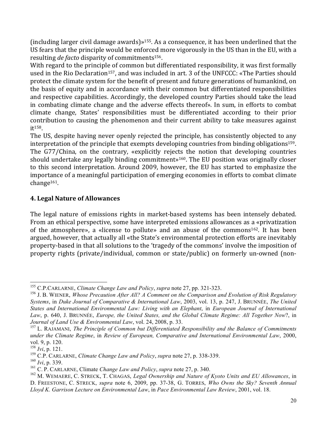(including larger civil damage awards)»<sup>155</sup>. As a consequence, it has been underlined that the US fears that the principle would be enforced more vigorously in the US than in the EU, with a resulting *de facto* disparity of commitments<sup>156</sup>.

With regard to the principle of common but differentiated responsibility, it was first formally used in the Rio Declaration<sup>157</sup>, and was included in art. 3 of the UNFCCC: «The Parties should protect the climate system for the benefit of present and future generations of humankind, on the basis of equity and in accordance with their common but differentiated responsibilities and respective capabilities. Accordingly, the developed country Parties should take the lead in combating climate change and the adverse effects thereof». In sum, in efforts to combat climate change, States' responsibilities must be differentiated according to their prior contribution to causing the phenomenon and their current ability to take measures against it<sup>158</sup>.

The US, despite having never openly rejected the principle, has consistently objected to any interpretation of the principle that exempts developing countries from binding obligations<sup>159</sup>. The G77/China, on the contrary, «explicitly rejects the notion that developing countries" should undertake any legally binding commitment»<sup>160</sup>. The EU position was originally closer to this second interpretation. Around 2009, however, the EU has started to emphasize the importance of a meaningful participation of emerging economies in efforts to combat climate change161.

## **4. Legal Nature of Allowances**

The legal nature of emissions rights in market-based systems has been intensely debated. From an ethical perspective, some have interpreted emissions allowances as a «privatization" of the atmosphere», a «license to pollute» and an abuse of the commons<sup>162</sup>. It has been argued, however, that actually all «the State's environmental protection efforts are inevitably property-based in that all solutions to the 'tragedy of the commons' involve the imposition of property rights (private/individual, common or state/public) on formerly un-owned (non-

 <sup>155</sup> C.P.CARLARNE, *Climate Change Law and Policy*, *supra* note 27, pp. 321-323.

<sup>156</sup> J. B. WIENER, *Whose Precaution After All? A Comment on the Comparison and Evolution of Risk Regulatory Systems*, in *Duke Journal of Comparative & International Law*, 2003, vol. 13, p. 247, J. BRUNNÉE, *The United States and International Environmental Law: Living with an Elephant*, in *European Journal of International Law*, p. 640, J. BRUNNÉE, *Europe, the United States, and the Global Climate Regime: All Together Now*?, in *Journal of Land Use & Environmental Law*, vol. 24, 2008, p. 33.

<sup>157</sup> L. RAJAMANI, *The Principle of Common but Differentiated Responsibility and the Balance of Commitments under the Climate Regime*, in *Review of European, Comparative and International Environmental Law*, 2000, vol. 9, p. 120.

<sup>158</sup> *Ivi*, p. 121.

<sup>159</sup> C.P. CARLARNE, *Climate Change Law and Policy*, *supra* note 27, p. 338-339.

<sup>160</sup> *Ivi*, p. 339.

<sup>161</sup> C. P. CARLARNE, Climate *Change Law and Policy*, *supra* note 27, p. 340.

<sup>162</sup> M. WEMAERE, C. STRECK, T. CHAGAS, *Legal Ownership and Nature of Kyoto Units and EU Allowances*, in D. FREESTONE, C. STRECK, *supra* note 6, 2009, pp. 37-38, G. TORRES, *Who Owns the Sky? Seventh Annual Lloyd K. Garrison Lecture on Environmental Law*, in *Pace Environmental Law Review*, 2001, vol. 18.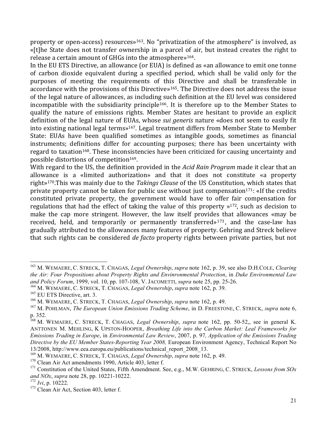property or open-access) resources»<sup>163</sup>. No "privatization of the atmosphere" is involved, as «[t]he State does not transfer ownership in a parcel of air, but instead creates the right to release a certain amount of GHGs into the atmosphere»<sup>164</sup>.

In the EU ETS Directive, an allowance (or EUA) is defined as «an allowance to emit one tonne" of carbon dioxide equivalent during a specified period, which shall be valid only for the purposes of meeting the requirements of this Directive and shall be transferable in accordance with the provisions of this Directive»<sup>165</sup>. The Directive does not address the issue of the legal nature of allowances, as including such definition at the EU level was considered incompatible with the subsidiarity principle<sup>166</sup>. It is therefore up to the Member States to qualify the nature of emissions rights. Member States are hesitant to provide an explicit definition of the legal nature of EUAs, whose *sui generis* nature «does not seem to easily fit into existing national legal terms»<sup>167</sup>. Legal treatment differs from Member State to Member State: EUAs have been qualified sometimes as intangible goods, sometimes as financial instruments; definitions differ for accounting purposes; there has been uncertainty with regard to taxation<sup>168</sup>. These inconsistencies have been criticized for causing uncertainty and possible distortions of competition<sup>169</sup>.

With regard to the US, the definition provided in the *Acid Rain Program* made it clear that an allowance is a «limited authorization» and that it does not constitute «a property right»<sup>170</sup>.This was mainly due to the *Takings Clause* of the US Constitution, which states that private property cannot be taken for public use without just compensation<sup>171</sup>: «If the credits" constituted private property, the government would have to offer fair compensation for regulations that had the effect of taking the value of this property  $\frac{172}{12}$ , such as decision to make the cap more stringent. However, the law itself provides that allowances «may be" received, held, and temporarily or permanently transferred»  $173$ , and the case-law has gradually attributed to the allowances many features of property. Gehring and Streck believe that such rights can be considered *de facto* property rights between private parties, but not

 <sup>163</sup> M. WEMAERE, C. STRECK, T. CHAGAS, *Legal Ownership*, *supra* note 162, p. 39, see also D.H.COLE, *Clearing the Air: Four Propositions about Property Rights and Envinronmental Protection*, in *Duke Environmental Law and Policy Forum*, 1999, vol. 10, pp. 107-108, V. JACOMETTI, *supra* note 25, pp. 25-26.

<sup>164</sup> M. WEMAERE, C. STRECK, T. CHAGAS, *Legal Ownership*, *supra* note 162, p. 39.

<sup>&</sup>lt;sup>165</sup> EU ETS Directive, art. 3.

<sup>166</sup> M. WEMAERE, C. STRECK, T. CHAGAS, *Legal Ownership*, *supra* note 162, p. 49.

<sup>167</sup> M. POHLMAN, *The European Union Emissions Trading Scheme*, in D. FREESTONE, C. STRECK, *supra* note 6, p. 352.

<sup>168</sup> M. WEMAERE, C. STRECK, T. CHAGAS, *Legal Ownership*, *supra* note 162, pp. 50-52,, see in general K. ANTTONEN M. MEHLING, K UPSTON-HOOPER, *Breathing Life into the Carbon Market: Leal Frameworks for Emissions Trading in Europe*, in *Environmental Law Review*, 2007, p. 97*, Application of the Emissions Trading Directive by the EU Member States-Reporting Year 2008,* European Environment Agency, Technical Report No

<sup>13/2008,</sup> http://www.eea.europa.eu/publications/technical\_report\_2008\_13. <sup>169</sup> M. WEMAERE, C. STRECK, T. CHAGAS, *Legal Ownership*, *supra* note 162, p. 49.

 $170$  Clean Air Act amendments 1990, Article 403, letter f.

<sup>171</sup> Constitution of the United States, Fifth Amendment. See, e.g., M.W. GEHRING, C. STRECK, *Lessons from SOx and NOx*, *supra* note 28, pp. 10221-10222.

 $172$  *Ivi*, p. 10222.

<sup>&</sup>lt;sup>173</sup> Clean Air Act, Section 403, letter f.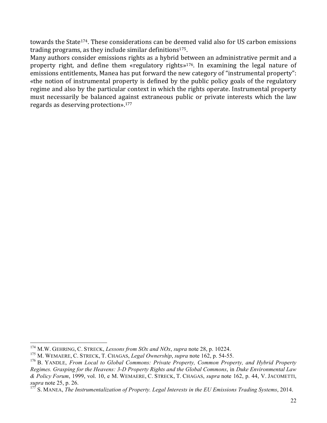towards the State<sup>174</sup>. These considerations can be deemed valid also for US carbon emissions trading programs, as they include similar definitions $175$ .

Many authors consider emissions rights as a hybrid between an administrative permit and a property right, and define them «regulatory rights»<sup>176</sup>. In examining the legal nature of emissions entitlements, Manea has put forward the new category of "instrumental property": «the notion of instrumental property is defined by the public policy goals of the regulatory regime and also by the particular context in which the rights operate. Instrumental property must necessarily be balanced against extraneous public or private interests which the law regards as deserving protection». $177$ 

 <sup>174</sup> M.W. GEHRING, C. STRECK, *Lessons from SOx and NOx*, *supra* note 28, p. 10224.

<sup>175</sup> M. WEMAERE, C. STRECK, T. CHAGAS, *Legal Ownership*, *supra* note 162, p. 54-55.

<sup>176</sup> B. YANDLE, *From Local to Global Commons: Private Property, Common Property, and Hybrid Property Regimes. Grasping for the Heavens: 3-D Property Rights and the Global Commons*, in *Duke Environmental Law & Policy Forum*, 1999, vol. 10, e M. WEMAERE, C. STRECK, T. CHAGAS, *supra* note 162, p. 44, V. JACOMETTI, *supra* note 25, p. 26.

<sup>177</sup> S. MANEA, *The Instrumentalization of Property. Legal Interests in the EU Emissions Trading Systems*, 2014.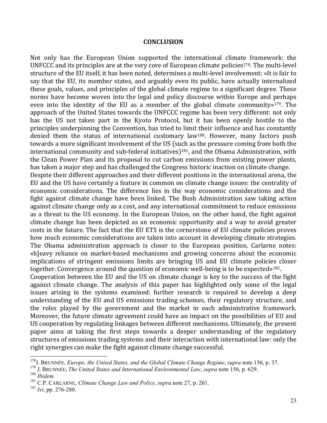#### **CONCLUSION**

Not only has the European Union supported the international climate framework: the UNFCCC and its principles are at the very core of European climate policies<sup>178</sup>. The multi-level structure of the EU itself, it has been noted, determines a multi-level involvement: «It is fair to say that the EU, its member states, and arguably even its public, have actually internalized these goals, values, and principles of the global climate regime to a significant degree. These norms have become woven into the legal and policy discourse within Europe and perhaps even into the identity of the EU as a member of the global climate community»<sup>179</sup>. The approach of the United States towards the UNFCCC regime has been very different: not only has the US not taken part in the Kyoto Protocol, but it has been openly hostile to the principles underpinning the Convention, has tried to limit their influence and has constantly denied them the status of international customary law<sup>180</sup>. However, many factors push towards a more significant involvement of the US (such as the pressure coming from both the international community and sub-federal initiatives)<sup>181</sup>, and the Obama Administration, with the Clean Power Plan and its proposal to cut carbon emissions from existing power plants, has taken a major step and has challenged the Congress historic inaction on climate change.

Despite their different approaches and their different positions in the international arena, the EU and the US have certainly a feature in common on climate change issues: the centrality of economic considerations. The difference lies in the way economic considerations and the fight against climate change have been linked. The Bush Administration saw taking action against climate change only as a cost, and any international commitment to reduce emissions as a threat to the US economy. In the European Union, on the other hand, the fight against climate change has been depicted as an economic opportunity and a way to avoid greater costs in the future. The fact that the EU ETS is the cornerstone of EU climate policies proves how much economic considerations are taken into account in developing climate strategies. The Obama administration approach is closer to the European position. Carlarne notes: «h]eavy reliance on market-based mechanisms and growing concerns about the economic implications of stringent emissions limits are bringing US and EU climate policies closer together. Convergence around the question of economic well-being is to be expected»<sup>182</sup>.

Cooperation between the EU and the US on climate change is key to the success of the fight against climate change. The analysis of this paper has highlighted only some of the legal issues arising in the systems examined: further research is required to develop a deep understanding of the EU and US emissions trading schemes, their regulatory structure, and the roles played by the government and the market in each administrative framework. Moreover, the future climate agreement could have an impact on the possibilities of EU and US cooperation by regulating linkages between different mechanisms. Ultimately, the present paper aims at taking the first steps towards a deeper understanding of the regulatory structures of emissions trading systems and their interaction with international law: only the right synergies can make the fight against climate change successful.

 <sup>178</sup>J. BRUNNÉE, *Europe, the United States, and the Global Climate Change Regime*, *supra* note 156, p. 37.

<sup>179</sup> J. BRUNNÉE, *The United States and International Environmental Law*, *supra* note 156, p. 629.

<sup>&</sup>lt;sup>181</sup> C.P. CARLARNE, *Climate Change Law and Policy*, *supra* note 27, p. 261.

<sup>182</sup> *Ivi*, pp. 276-280.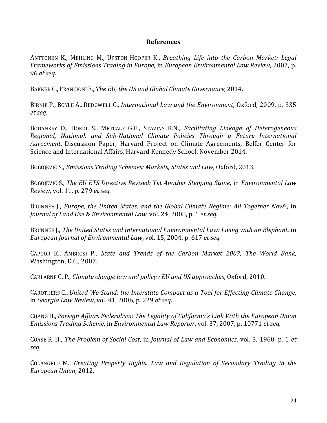#### **References**

ANTTONEN K., MEHLING M., UPSTON-HOOPER K., *Breathing Life into the Carbon Market: Legal Frameworks of Emissions Trading in Europe*, in *European Environmental Law Review*, 2007, p. 96"*et,seq.*

BAKKER C., FRANCIONI F., *The EU, the US and Global Climate Governance*, 2014.

BIRNIE P., BOYLE A., REDGWELL C., *International Law and the Environment*, Oxford, 2009, p. 335 *et,seq.*

BODANKSY" D., HOEDL" S., METCALF" G.E., STAVINS" R.N., *Facilitating, Linkage, of, Heterogeneous, Regional, National, and Sub-National Climate Policies Through a Future International* Agreement, Discussion Paper, Harvard Project on Climate Agreements, Belfer Center for Science and International Affairs, Harvard Kennedy School, November 2014.

BOGOJEVIĆ S., *Emissions Trading Schemes: Markets, States and Law*, Oxford, 2013.

BOGOJEVIĆ S., *The EU ETS Directive Revised: Yet Another Stepping Stone*, in *Environmental Law Review*,"vol."11,"p."279"*et,seq*.

BRUNNÉE J., *Europe, the United States, and the Global Climate Regime: All Together Now?*, in *Journal of Land Use & Environmental Law, vol.* 24, 2008, p. 1 *et seq.* 

BRUNNÉE J., *The United States and International Environmental Law: Living with an Elephant*, in *European Journal of Environmental Law, vol.* 15, 2004, p. 617 *et seq.* 

CAPOOR" K., AMBROSI" P.," *State, and, Trends, of, the, Carbon, Market, 2007*," *The, World, Bank*," Washington, D.C., 2007.

CARLARNE C. P., *Climate change law and policy: EU and US approaches*, Oxford, 2010.

CAROTHERS C., *United We Stand: the Interstate Compact as a Tool for Effecting Climate Change*, in"*Georgia,Law,Review*,"vol."41,"2006,"p."229"*et,seq*.

CHANG"H., *Foreign,Affairs,Federalism:,The,Legality,of,California's,Link,With,the,European,Union, Emissions, Trading, Scheme, in Environmental Law, Reporter, vol. 37, 2007, p. 10771 et, seq.* 

COASE R. H., *The Problem of Social Cost*, in *Journal of Law and Economics*, vol. 3, 1960, p. 1 *et seq.*

COLANGELO" M., *Creating, Property, Rights*." *Law, and, Regulation, of, Secondary, Trading, in, the, European Union*, 2012.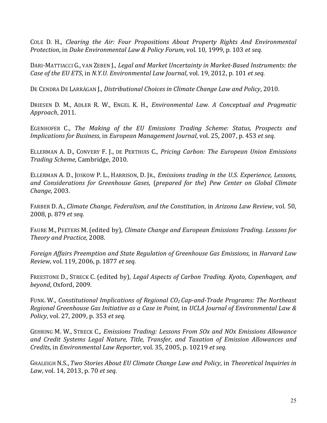COLE" D. H., *Clearing, the, Air:, Four, Propositions, About, Property, Rights, And, Environmental, Protection, in Duke Environmental Law & Policy Forum, vol. 10, 1999, p. 103 et seq.* 

DARI-MATTIACCI G., VAN ZEBEN J., *Legal and Market Uncertainty in Market-Based Instruments: the Case of the EU ETS, in N.Y.U. Environmental Law Journal, vol.* 19, 2012, p. 101 *et seq.* 

DE CENDRA DE LARRÁGAN J., *Distributional Choices in Climate Change Law and Policy*, 2010.

DRIESEN D. M., ADLER R. W., ENGEL K. H., *Environmental Law. A Conceptual and Pragmatic Approach*,"2011.

EGENHOFER C., *The Making of the EU Emissions Trading Scheme: Status, Prospects and Implications for Business, in European Management Journal, vol. 25, 2007, p. 453 et seq.* 

ELLERMAN"A. D., CONVERY" F. J., DE"PERTHUIS"C., *Pricing, Carbon:, The, European, Union, Emissions, Trading Scheme, Cambridge, 2010.* 

ELLERMAN"A. D., JOSKOW"P. L., HARRISON, D. JR., *Emissions,trading,in,the,U.S.,Experience,,Lessons,, and, Considerations, for, Greenhouse, Gases*," (*prepared, for, the*)" *Pew, Center, on, Global, Climate, Change*, 2003.

FARBER D. A., *Climate Change, Federalism, and the Constitution*, in *Arizona Law Review*, vol. 50, 2008, p. 879 et seq.

FAURE M., PEETERS M. (edited by), *Climate Change and European Emissions Trading. Lessons for* **Theory and Practice, 2008.** 

*Foreign,Affairs,Preemption,and,State,Regulation,of,Greenhouse,Gas,Emissions*,"in"*Harvard,Law, Review, vol.* 119, 2006, p. 1877 *et seq.* 

FREESTONE D., STRECK C. (edited by), *Legal Aspects of Carbon Trading. Kyoto, Copenhagen, and beyond*, Oxford, 2009.

FUNK. W., *Constitutional Implications of Regional CO<sub>2</sub> Cap-and-Trade Programs: The Northeast Regional,Greenhouse,Gas,Initiative,as,a,Case,in,Point*,"in"*UCLA,Journal,of,Environmental,Law,&, Policy*, vol. 27, 2009, p. 353 *et seq.* 

GEHRING"M. W., STRECK"C., *Emissions,Trading:,Lessons,From,SOx,and,NOx,Emissions,Allowance, and, Credit, Systems, Legal, Nature,, Title,, Transfer,, and, Taxation, of, Emission, Allowances, and, Credits, in Environmental Law Reporter, vol.* 35, 2005, p. 10219 *et seq.* 

GHALEIGH"N.S., *Two,Stories,About,EU,Climate,Change,Law,and,Policy*,"in"*Theoretical,Inquiries,in, Law*, vol. 14, 2013, p. 70 *et seq.*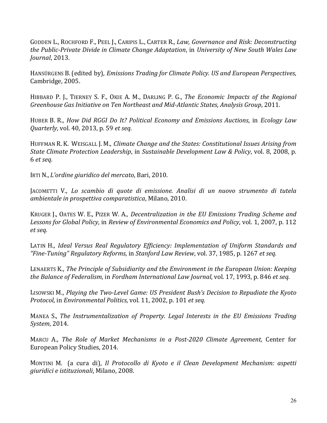GODDEN L., ROCHFORD F., PEEL J., CARIPIS L., CARTER R., *Law, Governance and Risk: Deconstructing the,Public\$Private,Divide,in,Climate,Change,Adaptation*,"in"*University,of,New,South,Wales,Law, Journal*, 2013.

HANSÜRGENS B. (edited by), *Emissions Trading for Climate Policy. US and European Perspectives*, Cambridge, 2005.

HIBBARD P. J., TIERNEY S. F., OKIE A. M., DARLING P. G., *The Economic Impacts of the Regional Greenhouse,Gas,Initiative,on,Ten,Northeast,and,Mid\$Atlantic,States*,"*Analysis,Group*,"2011.

HUBER"B. R.,"*How,Did, RGGI,Do, It?, Political, Economy, and, Emissions, Auctions*," in" *Ecology, Law, Quarterly, vol.* 40, 2013, p. 59 *et seq.* 

HUFFMAN R. K. WEISGALL J. M., *Climate Change and the States: Constitutional Issues Arising from State Climate Protection Leadership, in Sustainable Development Law & Policy, vol. 8, 2008, p.* 6"*et,seq.*

IRTI N., *L'ordine giuridico del mercato*, Bari, 2010.

JACOMETTI V., Lo scambio di quote di emissione. Analisi di un nuovo strumento di tutela *ambientale,in,prospettiva,comparatistica*,"Milano,"2010.

KRUGER J., OATES W. E., PIZER W. A., *Decentralization in the EU Emissions Trading Scheme and* Lessons for Global Policy, in Review of Environmental Economics and Policy, vol. 1, 2007, p. 112 *et,seq.*

LATIN H., *Ideal Versus, Real, Regulatory, Efficiency: Implementation, of Uniform, Standards, and* "Fine-Tuning" Regulatory Reforms, in *Stanford Law Review*, vol. 37, 1985, p. 1267 et seq.

LENAERTS K., *The Principle of Subsidiarity and the Environment in the European Union: Keeping the,Balance,of,Federalism*,"in"*Fordham,International,Law,Journal*,"vol."17,"1993,"p."846"*et,seq.*

LISOWSKI M., *Playing, the Two-Level Game: US President Bush's Decision to Repudiate the Kyoto Protocol, in Environmental Politics, vol.* 11, 2002, p. 101 *et seq.* 

MANEA S., *The Instrumentalization of Property. Legal Interests in the EU Emissions Trading System*,"2014.

MARCU A., The Role of Market Mechanisms in a Post-2020 Climate Agreement, Center for European Policy Studies, 2014.

MONTINI" M." " (a" cura" di)," *Il, Protocollo, di, Kyoto, e, il, Clean, Development, Mechanism:, aspetti, giuridici e istituzionali*, Milano, 2008.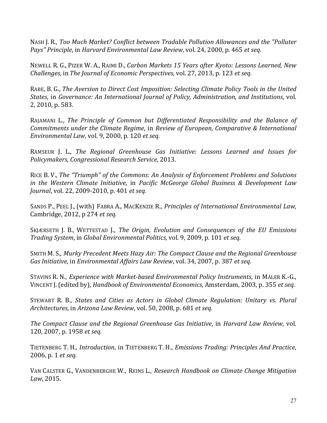NASH J. R., *Too Much Market? Conflict between Tradable Pollution Allowances and the "Polluter Pays" Principle, in Harvard Environmental Law Review, vol. 24, 2000, p. 465 et seq.* 

NEWELL R. G., PIZER W. A., RAIMI D., *Carbon Markets 15 Years after Kyoto: Lessons Learned, New Challenges, in The Journal of Economic Perspectives, vol. 27, 2013, p. 123 et seq.* 

RABE, B. G., *The Aversion to Direct Cost Imposition: Selecting Climate Policy Tools in the United States*, in *Governance: An International Journal of Policy, Administration, and Institutions, vol.* 2, 2010, p. 583.

RAJAMANI L., *The Principle of Common but Differentiated Responsibility and the Balance of Commitments under the Climate Regime, in Review of European, Comparative & International Environmental,Law*,"vol."9,"2000,"p."120"*et,seq.*

RAMSEUR J. L., *The Regional Greenhouse Gas Initiative: Lessons Learned and Issues for Policymakers, Congressional Research Service, 2013.* 

RICE B. V., *The "Triumph" of the Commons: An Analysis of Enforcement Problems and Solutions in, the, Western, Climate, Initiative*," in" *Pacific, McGeorge, Global, Business, &, Development, Law, Journal, vol.* 22, 2009-2010, p. 401 *et seq.* 

SANDS P., PEEL J., (with) FABRA A., MACKENZIE R., *Principles of International Environmental Law*, Cambridge, 2012, p 274 *et seq.* 

SKJÆRSETH J. B., WETTESTAD J., *The Origin, Evolution and Consequences of the EU Emissions Trading System, in Global Environmental Politics, vol. 9, 2009, p. 101 et seq.* 

SMITH"M. S., *Murky,Precedent,Meets,Hazy,Air:,The,Compact,Clause,and,the,Regional,Greenhouse, Gas Initiative, in Environmental Affairs Law Review, vol.* 34, 2007, p. 387 *et seq.* 

STAVINS R. N., *Experience with Market-based Environmental Policy Instruments*, in MÄLER K.-G., VINCENT J. (edited by), *Handbook of Environmental Economics*, Amsterdam, 2003, p. 355 *et seq.* 

STEWART" R. B.," *States, and, Cities, as, Actors, in, Global Climate, Regulation:, Unitary, vs., Plural, Architectures*,"in"*Arizona,Law,Review*,"vol."50,"2008,"p."681"*et,seq.*

*The Compact Clause and the Regional Greenhouse Gas Initiative, in Harvard Law Review, vol.* 120, 2007, p. 1958 *et seq.* 

TIETENBERG"T. H.,"*Introduction*,"in"TIETENBERG"T. H.,"*Emissions,Trading:,Principles,And,Practice*," 2006, p. 1 *et seq.* 

VAN"CALSTER"G., VANDENBERGHE"W.,"REINS"L.,"*Research,Handbook,on,Climate,Change,Mitigation,* Law, 2015.